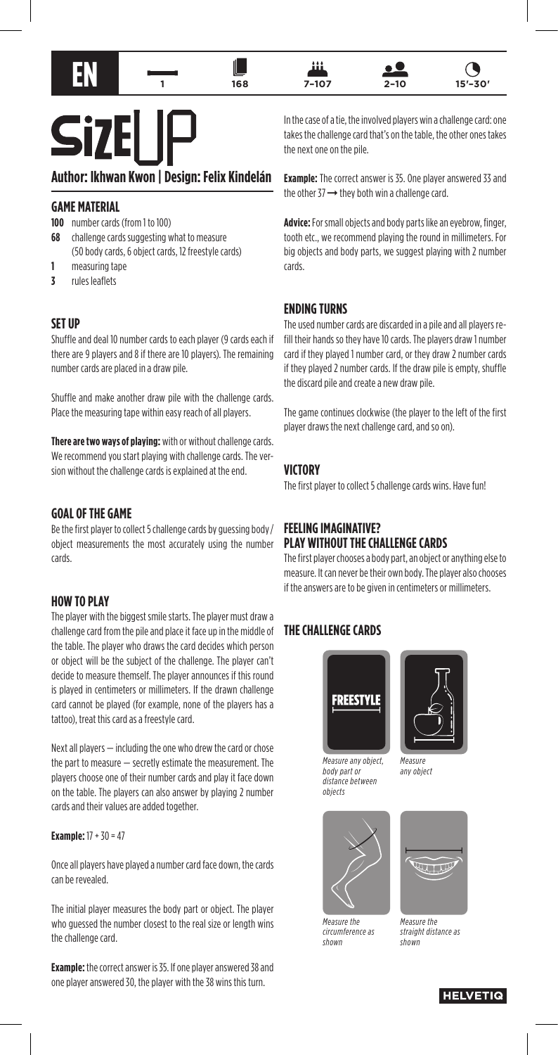





11 -





**Si7** 

# **Author: Ikhwan Kwon | Design: Felix Kindelán**

#### **GAME MATERIAL**

**100** number cards (from 1 to 100)

- **68** challenge cards suggesting what to measure (50 body cards, 6 object cards, 12 freestyle cards)
- **1** measuring tape
- **3** rules leaflets

#### **SET UP**

Shuffle and deal 10 number cards to each player (9 cards each if there are 9 players and 8 if there are 10 players). The remaining number cards are placed in a draw pile.

Shuffle and make another draw pile with the challenge cards. Place the measuring tape within easy reach of all players.

**There are two ways of playing:** with or without challenge cards. We recommend you start playing with challenge cards. The version without the challenge cards is explained at the end.

### **GOAL OF THE GAME**

Be the first player to collect 5 challenge cards by guessing body / object measurements the most accurately using the number cards.

#### **HOW TO PLAY**

The player with the biggest smile starts. The player must draw a challenge card from the pile and place it face up in the middle of the table. The player who draws the card decides which person or object will be the subject of the challenge. The player can't decide to measure themself. The player announces if this round is played in centimeters or millimeters. If the drawn challenge card cannot be played (for example, none of the players has a tattoo), treat this card as a freestyle card.

Next all players — including the one who drew the card or chose the part to measure — secretly estimate the measurement. The players choose one of their number cards and play it face down on the table. The players can also answer by playing 2 number cards and their values are added together.

#### **Example:** 17 + 30 = 47

Once all players have played a number card face down, the cards can be revealed.

The initial player measures the body part or object. The player who guessed the number closest to the real size or length wins the challenge card.

**Example:** the correct answer is 35. If one player answered 38 and one player answered 30, the player with the 38 wins this turn.

In the case of a tie, the involved players win a challenge card: one takes the challenge card that's on the table, the other ones takes the next one on the pile.

**Example:** The correct answer is 35. One player answered 33 and the other 37 ➞ they both win a challenge card.

**Advice:** For small objects and body parts like an eyebrow, finger, tooth etc., we recommend playing the round in millimeters. For big objects and body parts, we suggest playing with 2 number cards.

### **ENDING TURNS**

The used number cards are discarded in a pile and all players refill their hands so they have 10 cards. The players draw 1 number card if they played 1 number card, or they draw 2 number cards if they played 2 number cards. If the draw pile is empty, shuffle the discard pile and create a new draw pile.

The game continues clockwise (the player to the left of the first player draws the next challenge card, and so on).

#### **VICTORY**

The first player to collect 5 challenge cards wins. Have fun!

### **FEELING IMAGINATIVE? PLAY WITHOUT THE CHALLENGE CARDS**

The first player chooses a body part, an object or anything else to measure. It can never be their own body. The player also chooses if the answers are to be given in centimeters or millimeters.

### **THE CHALLENGE CARDS**



*Measure any object, body part or distance between objects*



*Measure any object*



*Measure the circumference as shown*



*Measure the straight distance as shown*

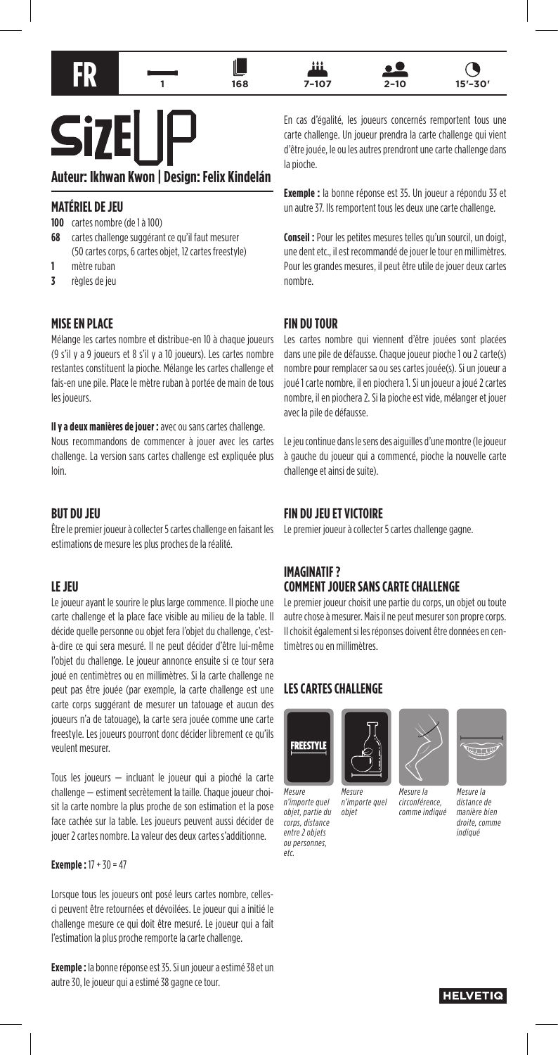

# **Si7**

**Auteur: Ikhwan Kwon | Design: Felix Kindelán**

## **MATÉRIEL DE JEU**

**100** cartes nombre (de 1 à 100)

- **68** cartes challenge suggérant ce qu'il faut mesurer (50 cartes corps, 6 cartes objet, 12 cartes freestyle)
- **1** mètre ruban
- **3** règles de jeu

## **MISE EN PLACE**

Mélange les cartes nombre et distribue-en 10 à chaque joueurs (9 s'il y a 9 joueurs et 8 s'il y a 10 joueurs). Les cartes nombre restantes constituent la pioche. Mélange les cartes challenge et fais-en une pile. Place le mètre ruban à portée de main de tous les joueurs.

**Il y a deux manières de jouer :** avec ou sans cartes challenge. Nous recommandons de commencer à jouer avec les cartes challenge. La version sans cartes challenge est expliquée plus loin.

### **BUT DU JEU**

Être le premier joueur à collecter 5 cartes challenge en faisant les estimations de mesure les plus proches de la réalité.

# **LE JEU**

Le joueur ayant le sourire le plus large commence. Il pioche une carte challenge et la place face visible au milieu de la table. Il décide quelle personne ou objet fera l'objet du challenge, c'està-dire ce qui sera mesuré. Il ne peut décider d'être lui-même l'objet du challenge. Le joueur annonce ensuite si ce tour sera joué en centimètres ou en millimètres. Si la carte challenge ne peut pas être jouée (par exemple, la carte challenge est une carte corps suggérant de mesurer un tatouage et aucun des joueurs n'a de tatouage), la carte sera jouée comme une carte freestyle. Les joueurs pourront donc décider librement ce qu'ils veulent mesurer.

Tous les joueurs — incluant le joueur qui a pioché la carte challenge — estiment secrètement la taille. Chaque joueur choisit la carte nombre la plus proche de son estimation et la pose face cachée sur la table. Les joueurs peuvent aussi décider de jouer 2 cartes nombre. La valeur des deux cartes s'additionne.

#### **Exemple :** 17 + 30 = 47

Lorsque tous les joueurs ont posé leurs cartes nombre, cellesci peuvent être retournées et dévoilées. Le joueur qui a initié le challenge mesure ce qui doit être mesuré. Le joueur qui a fait l'estimation la plus proche remporte la carte challenge.

**Exemple :** la bonne réponse est 35. Si un joueur a estimé 38 et un autre 30, le joueur qui a estimé 38 gagne ce tour.

En cas d'égalité, les joueurs concernés remportent tous une carte challenge. Un joueur prendra la carte challenge qui vient d'être jouée, le ou les autres prendront une carte challenge dans la pioche.

**Exemple :** la bonne réponse est 35. Un joueur a répondu 33 et un autre 37. Ils remportent tous les deux une carte challenge.

**Conseil :** Pour les petites mesures telles qu'un sourcil, un doigt, une dent etc., il est recommandé de jouer le tour en millimètres. Pour les grandes mesures, il peut être utile de jouer deux cartes nombre.

## **FIN DU TOUR**

Les cartes nombre qui viennent d'être jouées sont placées dans une pile de défausse. Chaque joueur pioche 1 ou 2 carte(s) nombre pour remplacer sa ou ses cartes jouée(s). Si un joueur a joué 1 carte nombre, il en piochera 1. Si un joueur a joué 2 cartes nombre, il en piochera 2. Si la pioche est vide, mélanger et jouer avec la pile de défausse.

Le jeu continue dans le sens des aiguilles d'une montre (le joueur à gauche du joueur qui a commencé, pioche la nouvelle carte challenge et ainsi de suite).

# **FIN DU JEU ET VICTOIRE**

Le premier joueur à collecter 5 cartes challenge gagne.

## **IMAGINATIF ? COMMENT JOUER SANS CARTE CHALLENGE**

Le premier joueur choisit une partie du corps, un objet ou toute autre chose à mesurer. Mais il ne peut mesurer son propre corps. Il choisit également si les réponses doivent être données en centimètres ou en millimètres.

# **LES CARTES CHALLENGE**



*Mesure n'importe quel objet, partie du corps, distance entre 2 objets ou personnes, etc.*

*Mesure n'importe quel objet*







*comme indiqué*

*Mesure la distance de manière bien droite, comme indiqué*

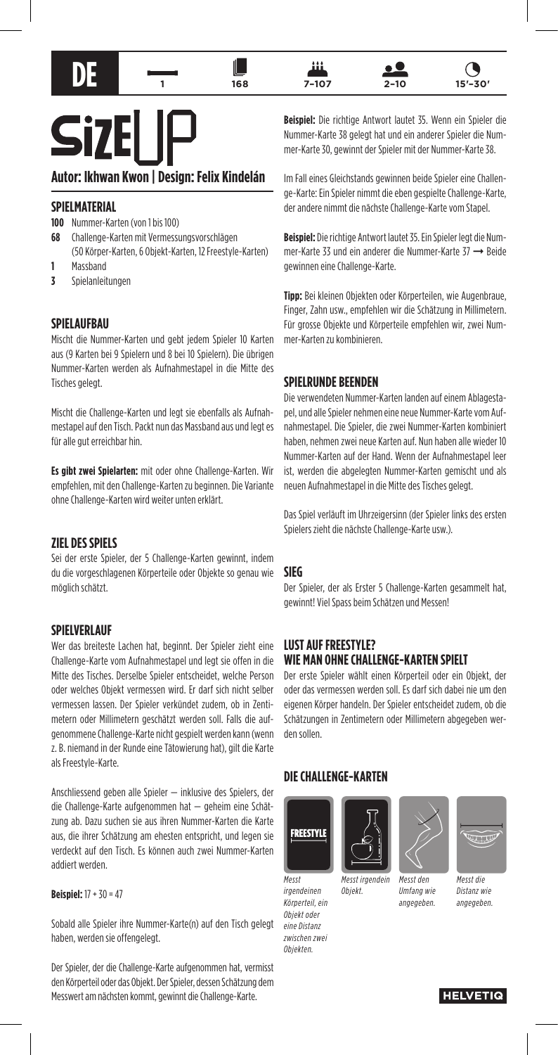



11





# **Si7**

# **Autor: Ikhwan Kwon | Design: Felix Kindelán**

## **SPIELMATERIAL**

**100** Nummer-Karten (von 1 bis 100)

- **68** Challenge-Karten mit Vermessungsvorschlägen (50 Körper-Karten, 6 Objekt-Karten, 12 Freestyle-Karten)
- **1** Massband
- **3** Spielanleitungen

#### **SPIELAUFBAU**

Mischt die Nummer-Karten und gebt jedem Spieler 10 Karten aus (9 Karten bei 9 Spielern und 8 bei 10 Spielern). Die übrigen Nummer-Karten werden als Aufnahmestapel in die Mitte des Tisches gelegt.

Mischt die Challenge-Karten und legt sie ebenfalls als Aufnahmestapel auf den Tisch. Packt nun das Massband aus und legt es für alle gut erreichbar hin.

**Es gibt zwei Spielarten:** mit oder ohne Challenge-Karten. Wir empfehlen, mit den Challenge-Karten zu beginnen. Die Variante ohne Challenge-Karten wird weiter unten erklärt.

#### **ZIEL DES SPIELS**

Sei der erste Spieler, der 5 Challenge-Karten gewinnt, indem du die vorgeschlagenen Körperteile oder Objekte so genau wie möglich schätzt.

#### **SPIELVERLAUF**

Wer das breiteste Lachen hat, beginnt. Der Spieler zieht eine Challenge-Karte vom Aufnahmestapel und legt sie offen in die Mitte des Tisches. Derselbe Spieler entscheidet, welche Person oder welches Objekt vermessen wird. Er darf sich nicht selber vermessen lassen. Der Spieler verkündet zudem, ob in Zentimetern oder Millimetern geschätzt werden soll. Falls die aufgenommene Challenge-Karte nicht gespielt werden kann (wenn z. B. niemand in der Runde eine Tätowierung hat), gilt die Karte als Freestyle-Karte.

Anschliessend geben alle Spieler — inklusive des Spielers, der die Challenge-Karte aufgenommen hat — geheim eine Schätzung ab. Dazu suchen sie aus ihren Nummer-Karten die Karte aus, die ihrer Schätzung am ehesten entspricht, und legen sie verdeckt auf den Tisch. Es können auch zwei Nummer-Karten addiert werden.

#### **Beispiel:** 17 + 30 = 47

Sobald alle Spieler ihre Nummer-Karte(n) auf den Tisch gelegt haben, werden sie offengelegt.

Der Spieler, der die Challenge-Karte aufgenommen hat, vermisst den Körperteil oder das Objekt. Der Spieler, dessen Schätzung dem Messwert am nächsten kommt, gewinnt die Challenge-Karte.

**Beispiel:** Die richtige Antwort lautet 35. Wenn ein Spieler die Nummer-Karte 38 gelegt hat und ein anderer Spieler die Nummer-Karte 30, gewinnt der Spieler mit der Nummer-Karte 38.

Im Fall eines Gleichstands gewinnen beide Spieler eine Challenge-Karte: Ein Spieler nimmt die eben gespielte Challenge-Karte, der andere nimmt die nächste Challenge-Karte vom Stapel.

**Beispiel:** Die richtige Antwort lautet 35. Ein Spieler legt die Nummer-Karte 33 und ein anderer die Nummer-Karte 37 ➞ Beide gewinnen eine Challenge-Karte.

**Tipp:** Bei kleinen Objekten oder Körperteilen, wie Augenbraue, Finger, Zahn usw., empfehlen wir die Schätzung in Millimetern. Für grosse Objekte und Körperteile empfehlen wir, zwei Nummer-Karten zu kombinieren.

## **SPIELRUNDE BEENDEN**

Die verwendeten Nummer-Karten landen auf einem Ablagestapel, und alle Spieler nehmen eine neue Nummer-Karte vom Aufnahmestapel. Die Spieler, die zwei Nummer-Karten kombiniert haben, nehmen zwei neue Karten auf. Nun haben alle wieder 10 Nummer-Karten auf der Hand. Wenn der Aufnahmestapel leer ist, werden die abgelegten Nummer-Karten gemischt und als neuen Aufnahmestapel in die Mitte des Tisches gelegt.

Das Spiel verläuft im Uhrzeigersinn (der Spieler links des ersten Spielers zieht die nächste Challenge-Karte usw.).

#### **SIEG**

Der Spieler, der als Erster 5 Challenge-Karten gesammelt hat, gewinnt! Viel Spass beim Schätzen und Messen!

#### **LUST AUF FREESTYLE? WIE MAN OHNE CHALLENGE-KARTEN SPIELT**

Der erste Spieler wählt einen Körperteil oder ein Objekt, der oder das vermessen werden soll. Es darf sich dabei nie um den eigenen Körper handeln. Der Spieler entscheidet zudem, ob die Schätzungen in Zentimetern oder Millimetern abgegeben werden sollen.

#### **DIE CHALLENGE-KARTEN**



*Objekt.*

*Messt irgendeinen Körperteil, ein Objekt oder eine Distanz zwischen zwei Objekten.*





*Umfang wie angegeben.*



*Messt die Distanz wie angegeben.*

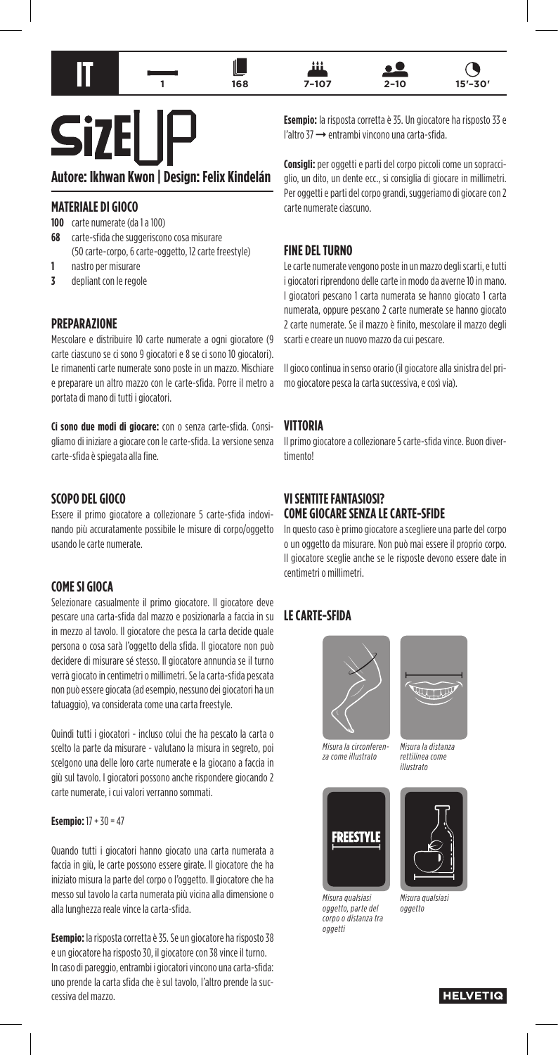



11





**Si7** 

# **Autore: Ikhwan Kwon | Design: Felix Kindelán**

### **MATERIALE DI GIOCO**

**100** carte numerate (da 1 a 100)

- **68** carte-sfida che suggeriscono cosa misurare (50 carte-corpo, 6 carte-oggetto, 12 carte freestyle)
- **1** nastro per misurare
- **3** depliant con le regole

#### **PREPARAZIONE**

Mescolare e distribuire 10 carte numerate a ogni giocatore (9 carte ciascuno se ci sono 9 giocatori e 8 se ci sono 10 giocatori). Le rimanenti carte numerate sono poste in un mazzo. Mischiare e preparare un altro mazzo con le carte-sfida. Porre il metro a portata di mano di tutti i giocatori.

**Ci sono due modi di giocare:** con o senza carte-sfida. Consigliamo di iniziare a giocare con le carte-sfida. La versione senza carte-sfida è spiegata alla fine.

#### **SCOPO DEL GIOCO**

Essere il primo giocatore a collezionare 5 carte-sfida indovinando più accuratamente possibile le misure di corpo/oggetto usando le carte numerate.

#### **COME SI GIOCA**

Selezionare casualmente il primo giocatore. Il giocatore deve pescare una carta-sfida dal mazzo e posizionarla a faccia in su in mezzo al tavolo. Il giocatore che pesca la carta decide quale persona o cosa sarà l'oggetto della sfida. Il giocatore non può decidere di misurare sé stesso. Il giocatore annuncia se il turno verrà giocato in centimetri o millimetri. Se la carta-sfida pescata non può essere giocata (ad esempio, nessuno dei giocatori ha un tatuaggio), va considerata come una carta freestyle.

Quindi tutti i giocatori - incluso colui che ha pescato la carta o scelto la parte da misurare - valutano la misura in segreto, poi scelgono una delle loro carte numerate e la giocano a faccia in giù sul tavolo. I giocatori possono anche rispondere giocando 2 carte numerate, i cui valori verranno sommati.

#### **Esempio:** 17 + 30 = 47

Quando tutti i giocatori hanno giocato una carta numerata a faccia in giù, le carte possono essere girate. Il giocatore che ha iniziato misura la parte del corpo o l'oggetto. Il giocatore che ha messo sul tavolo la carta numerata più vicina alla dimensione o alla lunghezza reale vince la carta-sfida.

**Esempio:** la risposta corretta è 35. Se un giocatore ha risposto 38 e un giocatore ha risposto 30, il giocatore con 38 vince il turno. In caso di pareggio, entrambi i giocatori vincono una carta-sfida: uno prende la carta sfida che è sul tavolo, l'altro prende la successiva del mazzo.

**Esempio:** la risposta corretta è 35. Un giocatore ha risposto 33 e l'altro 37 ➞ entrambi vincono una carta-sfida.

**Consigli:** per oggetti e parti del corpo piccoli come un sopracciglio, un dito, un dente ecc., si consiglia di giocare in millimetri. Per oggetti e parti del corpo grandi, suggeriamo di giocare con 2 carte numerate ciascuno.

### **FINE DEL TURNO**

Le carte numerate vengono poste in un mazzo degli scarti, e tutti i giocatori riprendono delle carte in modo da averne 10 in mano. I giocatori pescano 1 carta numerata se hanno giocato 1 carta numerata, oppure pescano 2 carte numerate se hanno giocato 2 carte numerate. Se il mazzo è finito, mescolare il mazzo degli scarti e creare un nuovo mazzo da cui pescare.

Il gioco continua in senso orario (il giocatore alla sinistra del primo giocatore pesca la carta successiva, e così via).

#### **VITTORIA**

Il primo giocatore a collezionare 5 carte-sfida vince. Buon divertimento!

## **VI SENTITE FANTASIOSI? COME GIOCARE SENZA LE CARTE-SFIDE**

In questo caso è primo giocatore a scegliere una parte del corpo o un oggetto da misurare. Non può mai essere il proprio corpo. Il giocatore sceglie anche se le risposte devono essere date in centimetri o millimetri.

# **LE CARTE-SFIDA**



*Misura la circonferenza come illustrato*



*Misura qualsiasi oggetto, parte del corpo o distanza tra oggetti*



*Misura la distanza rettilinea come illustrato*



*Misura qualsiasi oggetto*

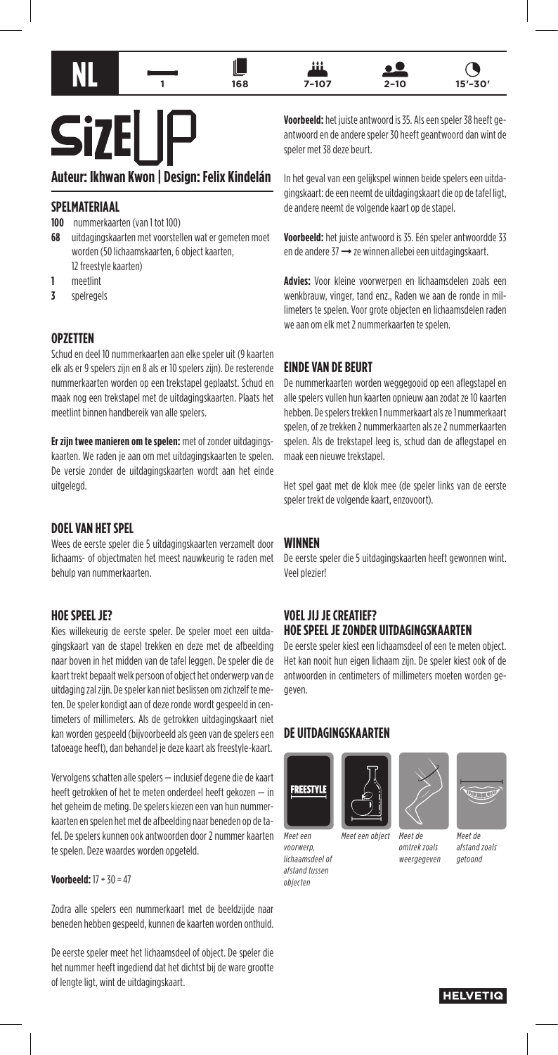









# **Si7**

# **Auteur: Ikhwan Kwon | Design: Felix Kindelán**

## **SPELMATERIAAL**

- **100** nummerkaarten (van 1 tot 100)
- **68** uitdagingskaarten met voorstellen wat er gemeten moet worden (50 lichaamskaarten, 6 object kaarten, 12 freestyle kaarten)
- **1** meetlint
- **3** spelregels

### **OPZETTEN**

Schud en deel 10 nummerkaarten aan elke speler uit (9 kaarten elk als er 9 spelers zijn en 8 als er 10 spelers zijn). De resterende nummerkaarten worden op een trekstapel geplaatst. Schud en maak nog een trekstapel met de uitdagingskaarten. Plaats het meetlint binnen handbereik van alle spelers.

**Er zijn twee manieren om te spelen:** met of zonder uitdagingskaarten. We raden je aan om met uitdagingskaarten te spelen. De versie zonder de uitdagingskaarten wordt aan het einde uitgelegd.

### **DOEL VAN HET SPEL**

Wees de eerste speler die 5 uitdagingskaarten verzamelt door lichaams- of objectmaten het meest nauwkeurig te raden met behulp van nummerkaarten.

### **HOE SPEEL JE?**

Kies willekeurig de eerste speler. De speler moet een uitdagingskaart van de stapel trekken en deze met de afbeelding naar boven in het midden van de tafel leggen. De speler die de kaart trekt bepaalt welk persoon of object het onderwerp van de uitdaging zal zijn. De speler kan niet beslissen om zichzelf te meten. De speler kondigt aan of deze ronde wordt gespeeld in centimeters of millimeters. Als de getrokken uitdagingskaart niet kan worden gespeeld (bijvoorbeeld als geen van de spelers een tatoeage heeft), dan behandel je deze kaart als freestyle-kaart.

Vervolgens schatten alle spelers — inclusief degene die de kaart heeft getrokken of het te meten onderdeel heeft gekozen — in het geheim de meting. De spelers kiezen een van hun nummerkaarten en spelen het met de afbeelding naar beneden op de tafel. De spelers kunnen ook antwoorden door 2 nummer kaarten te spelen. Deze waardes worden opgeteld.

#### **Voorbeeld:** 17 + 30 = 47

Zodra alle spelers een nummerkaart met de beeldzijde naar beneden hebben gespeeld, kunnen de kaarten worden onthuld.

De eerste speler meet het lichaamsdeel of object. De speler die het nummer heeft ingediend dat het dichtst bij de ware grootte of lengte ligt, wint de uitdagingskaart.

**Voorbeeld:** het juiste antwoord is 35. Als een speler 38 heeft geantwoord en de andere speler 30 heeft geantwoord dan wint de speler met 38 deze beurt.

In het geval van een gelijkspel winnen beide spelers een uitdagingskaart: de een neemt de uitdagingskaart die op de tafel ligt, de andere neemt de volgende kaart op de stapel.

**Voorbeeld:** het juiste antwoord is 35. Eén speler antwoordde 33 en de andere 37 ➞ ze winnen allebei een uitdagingskaart.

**Advies:** Voor kleine voorwerpen en lichaamsdelen zoals een wenkbrauw, vinger, tand enz., Raden we aan de ronde in millimeters te spelen. Voor grote objecten en lichaamsdelen raden we aan om elk met 2 nummerkaarten te spelen.

### **EINDE VAN DE BEURT**

De nummerkaarten worden weggegooid op een aflegstapel en alle spelers vullen hun kaarten opnieuw aan zodat ze 10 kaarten hebben. De spelers trekken 1 nummerkaart als ze 1 nummerkaart spelen, of ze trekken 2 nummerkaarten als ze 2 nummerkaarten spelen. Als de trekstapel leeg is, schud dan de aflegstapel en maak een nieuwe trekstapel.

Het spel gaat met de klok mee (de speler links van de eerste speler trekt de volgende kaart, enzovoort).

### **WINNEN**

De eerste speler die 5 uitdagingskaarten heeft gewonnen wint. Veel plezier!

### **VOEL JIJ JE CREATIEF? HOE SPEEL JE ZONDER UITDAGINGSKAARTEN**

De eerste speler kiest een lichaamsdeel of een te meten object. Het kan nooit hun eigen lichaam zijn. De speler kiest ook of de antwoorden in centimeters of millimeters moeten worden gegeven.

# **DE UITDAGINGSKAARTEN**



*Meet een voorwerp, lichaamsdeel of afstand tussen objecten*



*Meet de*

*omtrek zoals weergegeven*



*afstand zoals getoond*